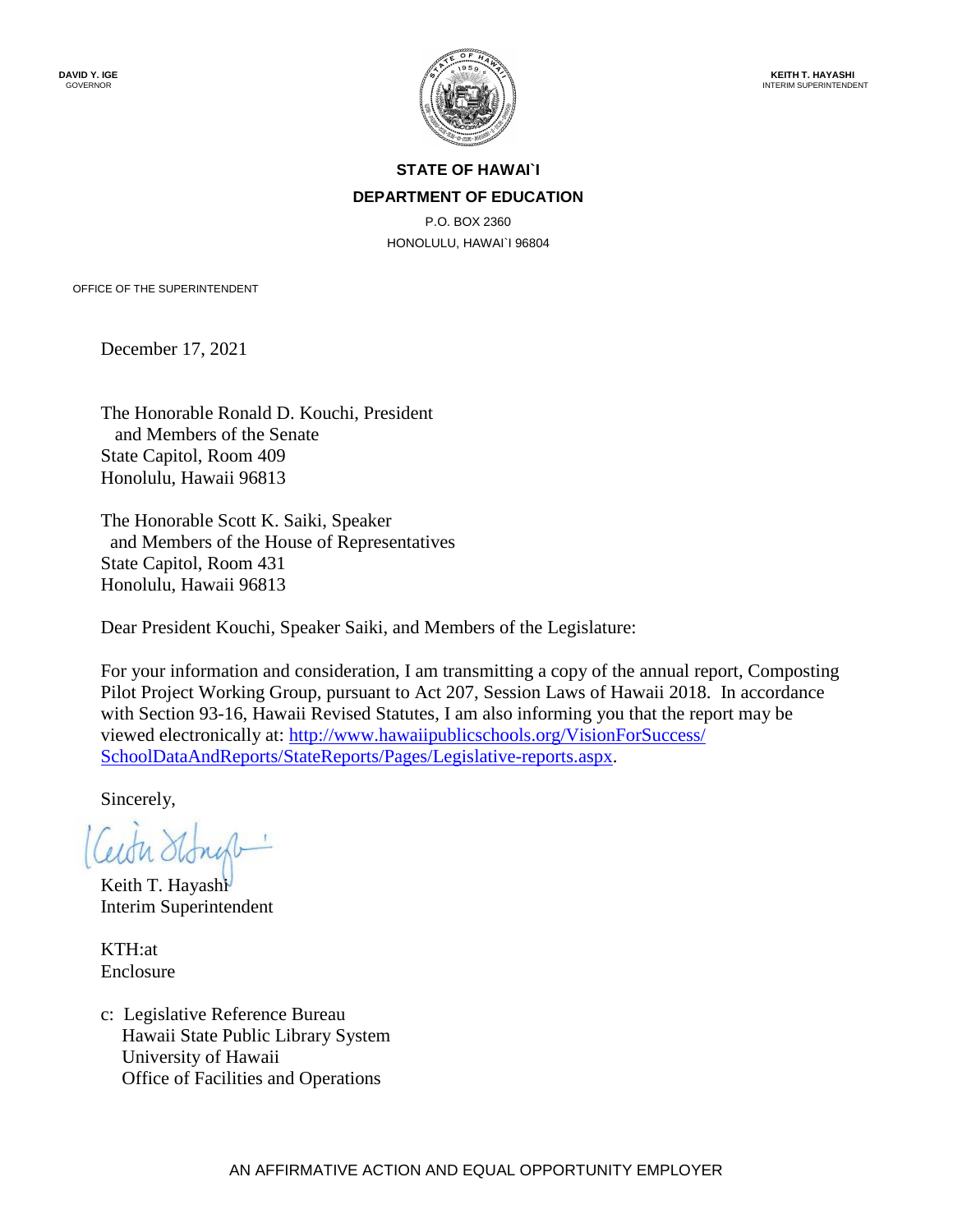

#### **STATE OF HAWAI`I DEPARTMENT OF EDUCATION**

P.O. BOX 2360 HONOLULU, HAWAI`I 96804

OFFICE OF THE SUPERINTENDENT

December 17, 2021

The Honorable Ronald D. Kouchi, President and Members of the Senate State Capitol, Room 409 Honolulu, Hawaii 96813

The Honorable Scott K. Saiki, Speaker and Members of the House of Representatives State Capitol, Room 431 Honolulu, Hawaii 96813

Dear President Kouchi, Speaker Saiki, and Members of the Legislature:

For your information and consideration, I am transmitting a copy of the annual report, Composting Pilot Project Working Group, pursuant to Act 207, Session Laws of Hawaii 2018. In accordance with Section 93-16, Hawaii Revised Statutes, I am also informing you that the report may be viewed electronically at: [http://www.hawaiipublicschools.org/VisionForSuccess/](http://www.hawaiipublicschools.org/VisionForSuccess/SchoolDataAndReports/StateReports/Pages/Legislative-reports.aspx)  [SchoolDataAndReports/StateReports/Pages/Legislative-reports.aspx.](http://www.hawaiipublicschools.org/VisionForSuccess/SchoolDataAndReports/StateReports/Pages/Legislative-reports.aspx)

Sincerely,

Keith T. Hayashi Interim Superintendent

KTH:at Enclosure

c: Legislative Reference Bureau Hawaii State Public Library System University of Hawaii Office of Facilities and Operations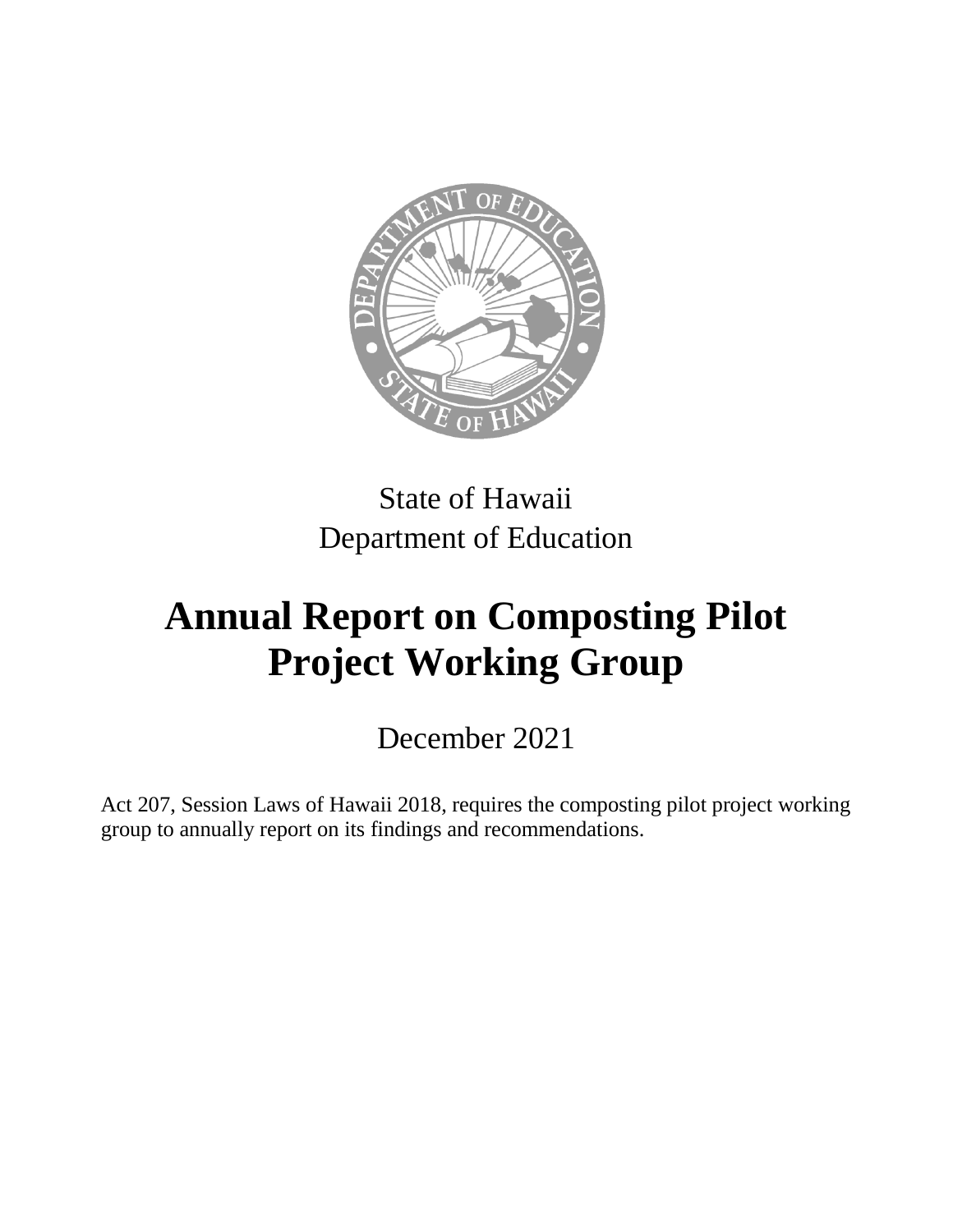

# State of Hawaii Department of Education

# **Annual Report on Composting Pilot Project Working Group**

December 2021

Act 207, Session Laws of Hawaii 2018, requires the composting pilot project working group to annually report on its findings and recommendations.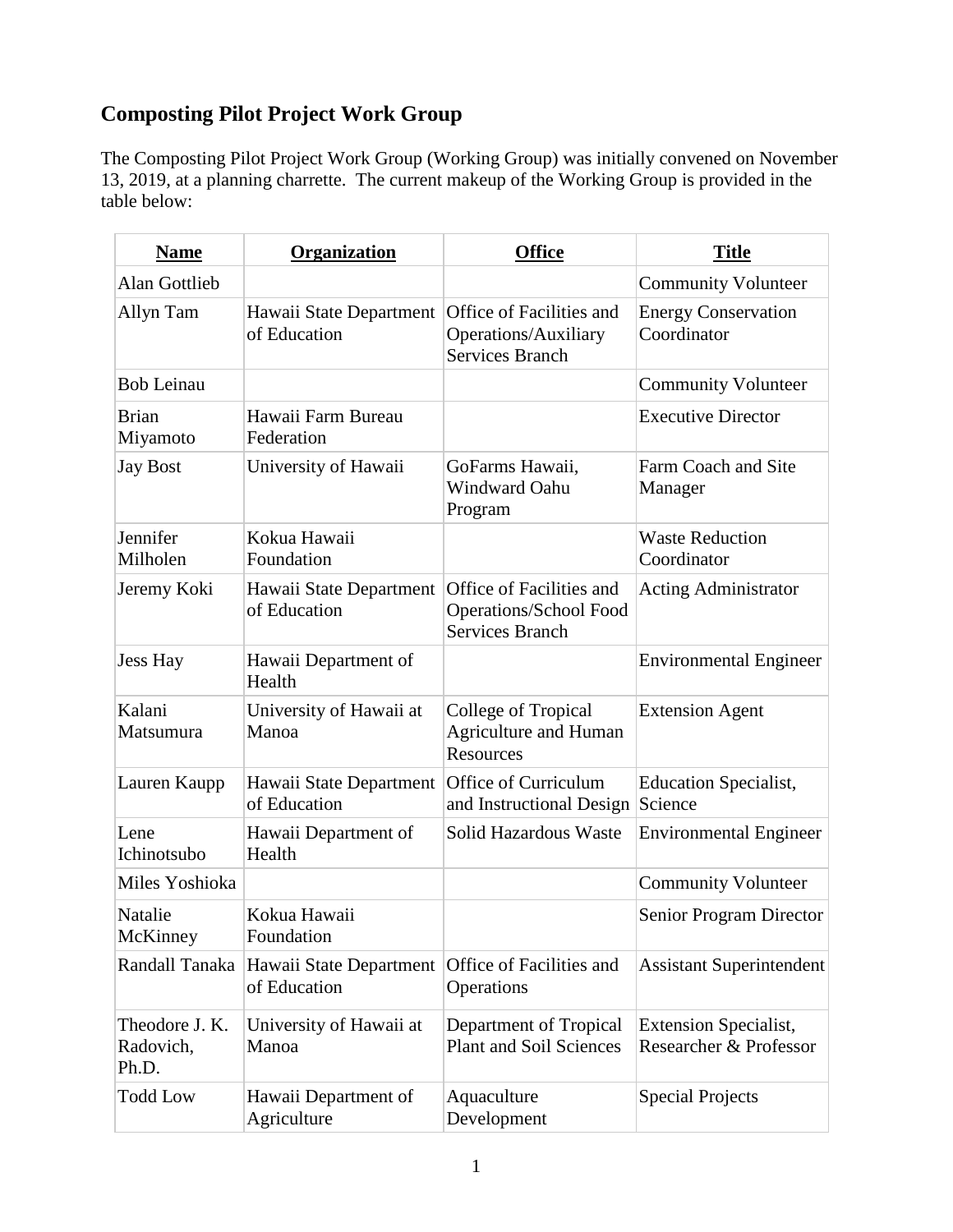# **Composting Pilot Project Work Group**

The Composting Pilot Project Work Group (Working Group) was initially convened on November 13, 2019, at a planning charrette. The current makeup of the Working Group is provided in the table below:

| <b>Name</b>                          | Organization                            | <b>Office</b>                                                                       | <b>Title</b>                                           |
|--------------------------------------|-----------------------------------------|-------------------------------------------------------------------------------------|--------------------------------------------------------|
| <b>Alan Gottlieb</b>                 |                                         |                                                                                     | <b>Community Volunteer</b>                             |
| Allyn Tam                            | Hawaii State Department<br>of Education | Office of Facilities and<br>Operations/Auxiliary<br><b>Services Branch</b>          | <b>Energy Conservation</b><br>Coordinator              |
| <b>Bob Leinau</b>                    |                                         |                                                                                     | <b>Community Volunteer</b>                             |
| <b>Brian</b><br>Miyamoto             | Hawaii Farm Bureau<br>Federation        |                                                                                     | <b>Executive Director</b>                              |
| <b>Jay Bost</b>                      | University of Hawaii                    | GoFarms Hawaii,<br>Windward Oahu<br>Program                                         | Farm Coach and Site<br>Manager                         |
| Jennifer<br>Milholen                 | Kokua Hawaii<br>Foundation              |                                                                                     | <b>Waste Reduction</b><br>Coordinator                  |
| Jeremy Koki                          | Hawaii State Department<br>of Education | Office of Facilities and<br><b>Operations/School Food</b><br><b>Services Branch</b> | <b>Acting Administrator</b>                            |
| <b>Jess Hay</b>                      | Hawaii Department of<br>Health          |                                                                                     | <b>Environmental Engineer</b>                          |
| Kalani<br>Matsumura                  | University of Hawaii at<br>Manoa        | College of Tropical<br><b>Agriculture and Human</b><br>Resources                    | <b>Extension Agent</b>                                 |
| Lauren Kaupp                         | Hawaii State Department<br>of Education | Office of Curriculum<br>and Instructional Design                                    | <b>Education Specialist,</b><br>Science                |
| Lene<br>Ichinotsubo                  | Hawaii Department of<br>Health          | Solid Hazardous Waste                                                               | <b>Environmental Engineer</b>                          |
| Miles Yoshioka                       |                                         |                                                                                     | <b>Community Volunteer</b>                             |
| Natalie<br>McKinney                  | Kokua Hawaii<br>Foundation              |                                                                                     | Senior Program Director                                |
| Randall Tanaka                       | Hawaii State Department<br>of Education | Office of Facilities and<br>Operations                                              | <b>Assistant Superintendent</b>                        |
| Theodore J. K.<br>Radovich,<br>Ph.D. | University of Hawaii at<br>Manoa        | Department of Tropical<br><b>Plant and Soil Sciences</b>                            | <b>Extension Specialist,</b><br>Researcher & Professor |
| <b>Todd Low</b>                      | Hawaii Department of<br>Agriculture     | Aquaculture<br>Development                                                          | <b>Special Projects</b>                                |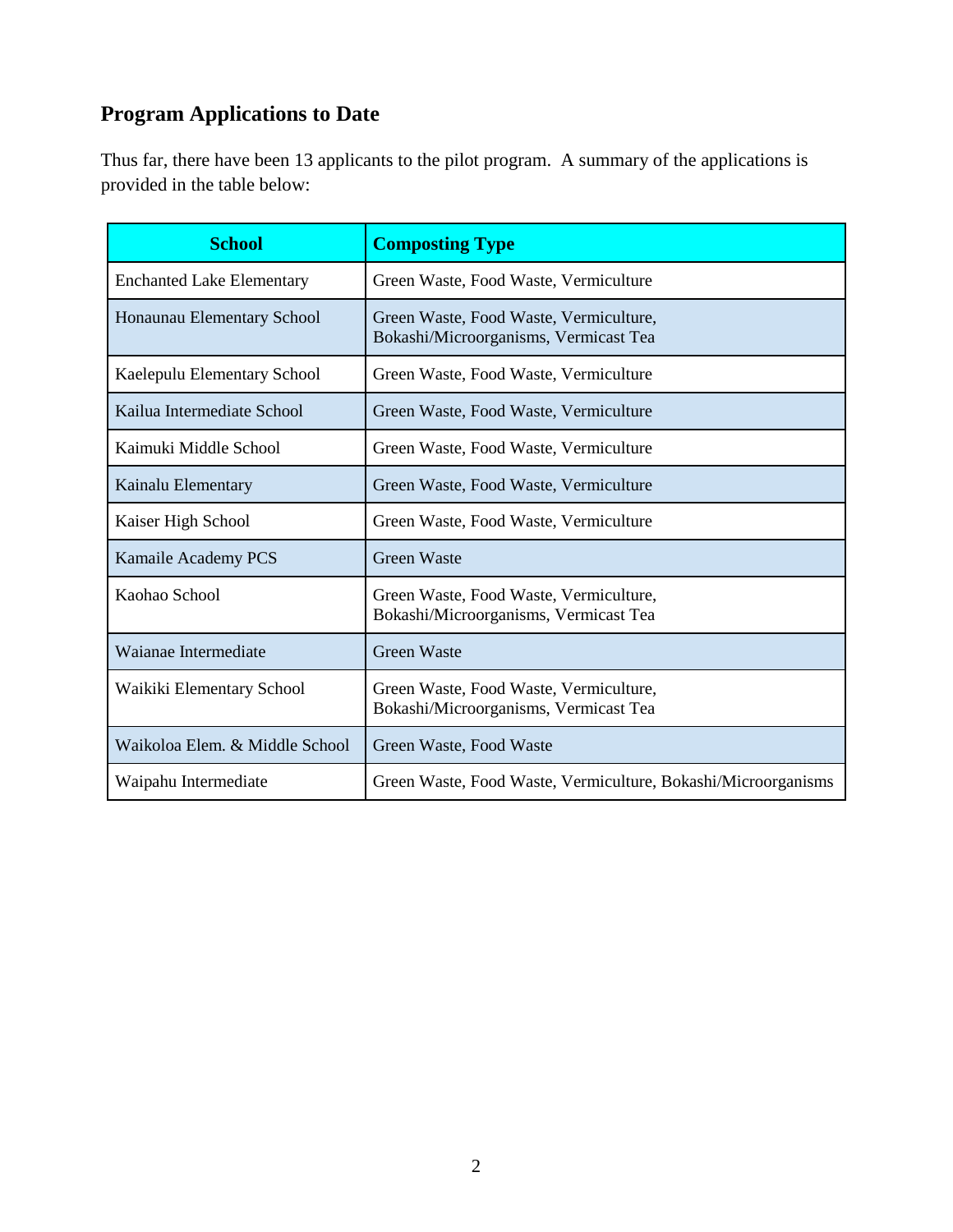# **Program Applications to Date**

Thus far, there have been 13 applicants to the pilot program. A summary of the applications is provided in the table below:

| <b>School</b>                    | <b>Composting Type</b>                                                          |  |
|----------------------------------|---------------------------------------------------------------------------------|--|
| <b>Enchanted Lake Elementary</b> | Green Waste, Food Waste, Vermiculture                                           |  |
| Honaunau Elementary School       | Green Waste, Food Waste, Vermiculture,<br>Bokashi/Microorganisms, Vermicast Tea |  |
| Kaelepulu Elementary School      | Green Waste, Food Waste, Vermiculture                                           |  |
| Kailua Intermediate School       | Green Waste, Food Waste, Vermiculture                                           |  |
| Kaimuki Middle School            | Green Waste, Food Waste, Vermiculture                                           |  |
| Kainalu Elementary               | Green Waste, Food Waste, Vermiculture                                           |  |
| Kaiser High School               | Green Waste, Food Waste, Vermiculture                                           |  |
| Kamaile Academy PCS              | <b>Green Waste</b>                                                              |  |
| Kaohao School                    | Green Waste, Food Waste, Vermiculture,<br>Bokashi/Microorganisms, Vermicast Tea |  |
| Waianae Intermediate             | <b>Green Waste</b>                                                              |  |
| Waikiki Elementary School        | Green Waste, Food Waste, Vermiculture,<br>Bokashi/Microorganisms, Vermicast Tea |  |
| Waikoloa Elem. & Middle School   | Green Waste, Food Waste                                                         |  |
| Waipahu Intermediate             | Green Waste, Food Waste, Vermiculture, Bokashi/Microorganisms                   |  |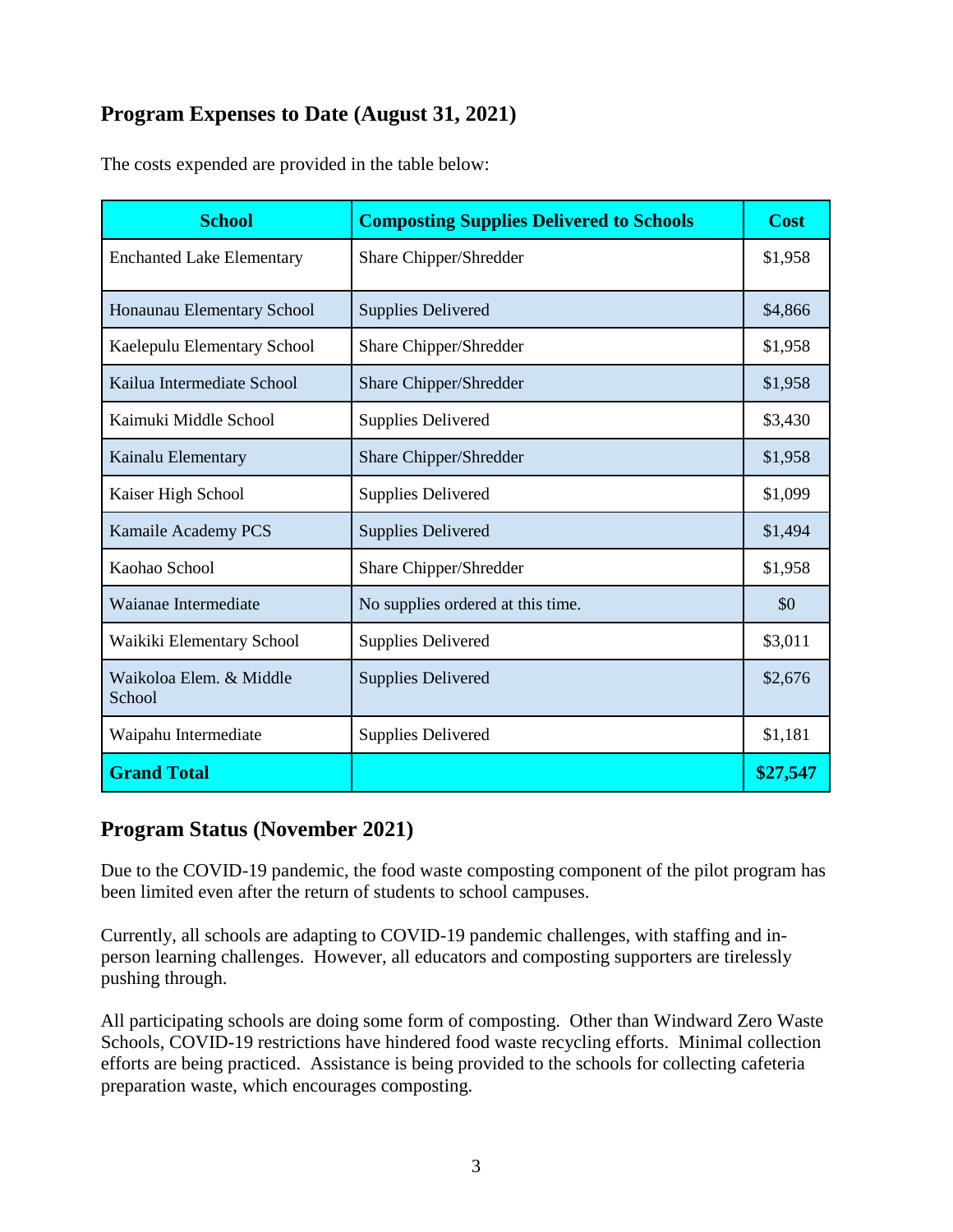## **Program Expenses to Date (August 31, 2021)**

| <b>School</b>                     | <b>Composting Supplies Delivered to Schools</b> | <b>Cost</b> |
|-----------------------------------|-------------------------------------------------|-------------|
| <b>Enchanted Lake Elementary</b>  | Share Chipper/Shredder                          | \$1,958     |
| Honaunau Elementary School        | <b>Supplies Delivered</b>                       | \$4,866     |
| Kaelepulu Elementary School       | Share Chipper/Shredder                          | \$1,958     |
| Kailua Intermediate School        | Share Chipper/Shredder                          | \$1,958     |
| Kaimuki Middle School             | <b>Supplies Delivered</b>                       | \$3,430     |
| Kainalu Elementary                | Share Chipper/Shredder                          | \$1,958     |
| Kaiser High School                | <b>Supplies Delivered</b>                       | \$1,099     |
| Kamaile Academy PCS               | <b>Supplies Delivered</b>                       | \$1,494     |
| Kaohao School                     | Share Chipper/Shredder                          | \$1,958     |
| Waianae Intermediate              | No supplies ordered at this time.               | \$0         |
| Waikiki Elementary School         | <b>Supplies Delivered</b>                       | \$3,011     |
| Waikoloa Elem. & Middle<br>School | <b>Supplies Delivered</b>                       | \$2,676     |
| Waipahu Intermediate              | <b>Supplies Delivered</b>                       | \$1,181     |
| <b>Grand Total</b>                |                                                 | \$27,547    |

The costs expended are provided in the table below:

#### **Program Status (November 2021)**

Due to the COVID-19 pandemic, the food waste composting component of the pilot program has been limited even after the return of students to school campuses.

Currently, all schools are adapting to COVID-19 pandemic challenges, with staffing and inperson learning challenges. However, all educators and composting supporters are tirelessly pushing through.

All participating schools are doing some form of composting. Other than Windward Zero Waste Schools, COVID-19 restrictions have hindered food waste recycling efforts. Minimal collection efforts are being practiced. Assistance is being provided to the schools for collecting cafeteria preparation waste, which encourages composting.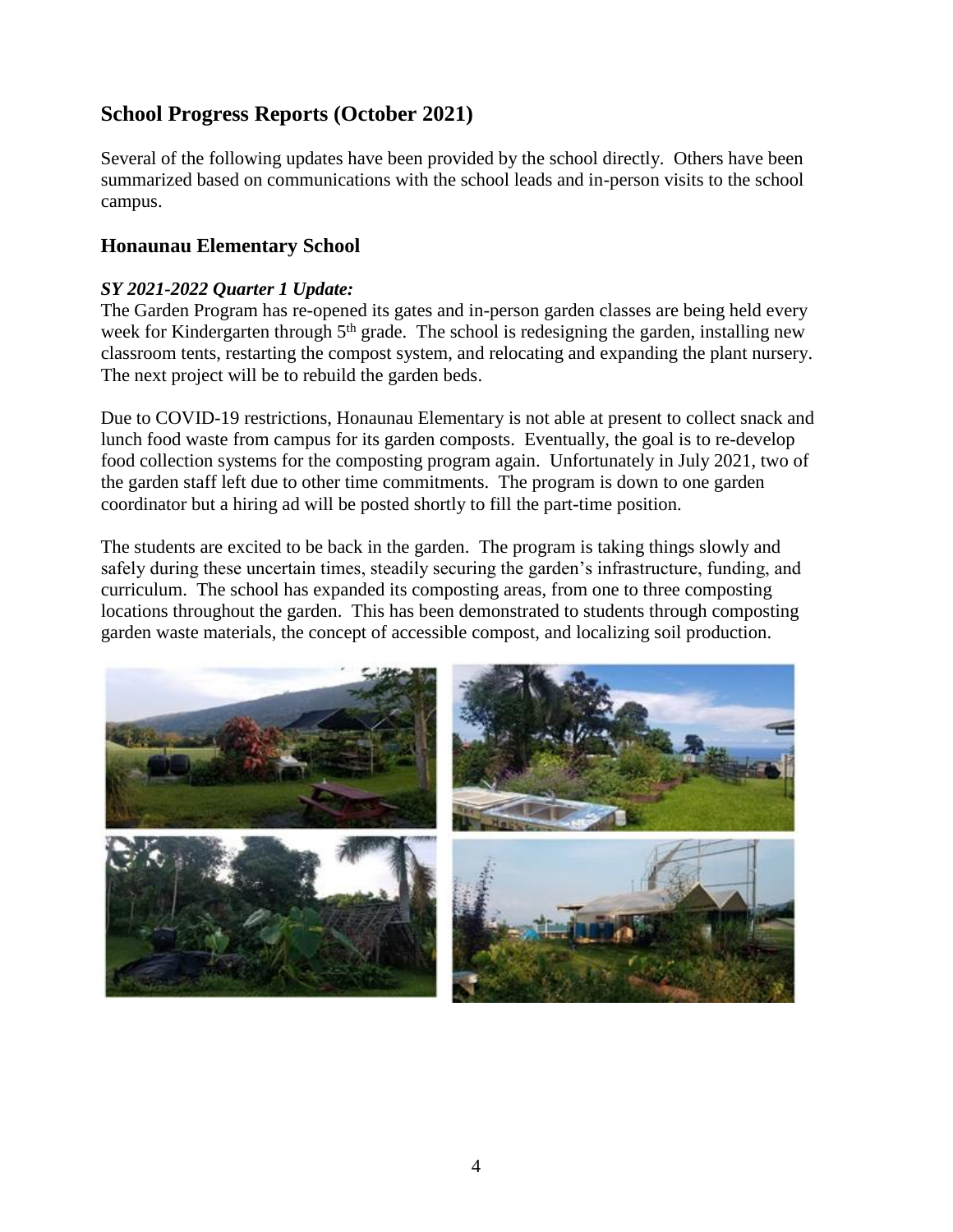## **School Progress Reports (October 2021)**

Several of the following updates have been provided by the school directly. Others have been summarized based on communications with the school leads and in-person visits to the school campus.

#### **Honaunau Elementary School**

#### *SY 2021-2022 Quarter 1 Update:*

The Garden Program has re-opened its gates and in-person garden classes are being held every week for Kindergarten through  $5<sup>th</sup>$  grade. The school is redesigning the garden, installing new classroom tents, restarting the compost system, and relocating and expanding the plant nursery. The next project will be to rebuild the garden beds.

Due to COVID-19 restrictions, Honaunau Elementary is not able at present to collect snack and lunch food waste from campus for its garden composts. Eventually, the goal is to re-develop food collection systems for the composting program again. Unfortunately in July 2021, two of the garden staff left due to other time commitments. The program is down to one garden coordinator but a hiring ad will be posted shortly to fill the part-time position.

The students are excited to be back in the garden. The program is taking things slowly and safely during these uncertain times, steadily securing the garden's infrastructure, funding, and curriculum. The school has expanded its composting areas, from one to three composting locations throughout the garden. This has been demonstrated to students through composting garden waste materials, the concept of accessible compost, and localizing soil production.

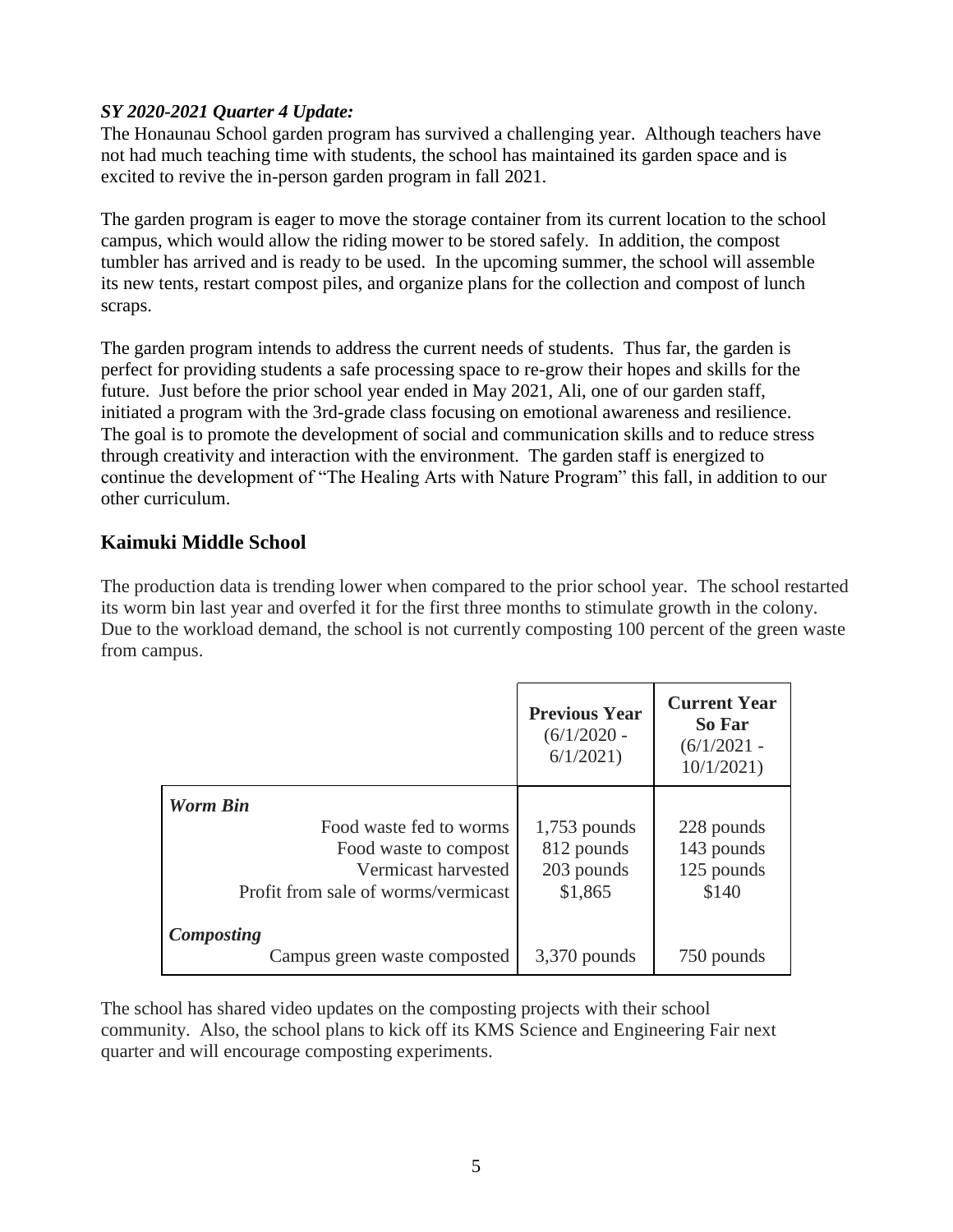#### *SY 2020-2021 Quarter 4 Update:*

The Honaunau School garden program has survived a challenging year. Although teachers have not had much teaching time with students, the school has maintained its garden space and is excited to revive the in-person garden program in fall 2021.

The garden program is eager to move the storage container from its current location to the school campus, which would allow the riding mower to be stored safely. In addition, the compost tumbler has arrived and is ready to be used. In the upcoming summer, the school will assemble its new tents, restart compost piles, and organize plans for the collection and compost of lunch scraps.

The garden program intends to address the current needs of students. Thus far, the garden is perfect for providing students a safe processing space to re-grow their hopes and skills for the future. Just before the prior school year ended in May 2021, Ali, one of our garden staff, initiated a program with the 3rd-grade class focusing on emotional awareness and resilience. The goal is to promote the development of social and communication skills and to reduce stress through creativity and interaction with the environment. The garden staff is energized to continue the development of "The Healing Arts with Nature Program" this fall, in addition to our other curriculum.

#### **Kaimuki Middle School**

The production data is trending lower when compared to the prior school year. The school restarted its worm bin last year and overfed it for the first three months to stimulate growth in the colony. Due to the workload demand, the school is not currently composting 100 percent of the green waste from campus.

|                                                                                                                                   | <b>Previous Year</b><br>$(6/1/2020 -$<br>6/1/2021     | <b>Current Year</b><br>So Far<br>$(6/1/2021 -$<br>10/1/2021 |
|-----------------------------------------------------------------------------------------------------------------------------------|-------------------------------------------------------|-------------------------------------------------------------|
| <b>Worm Bin</b><br>Food waste fed to worms<br>Food waste to compost<br>Vermicast harvested<br>Profit from sale of worms/vermicast | $1,753$ pounds<br>812 pounds<br>203 pounds<br>\$1,865 | 228 pounds<br>143 pounds<br>125 pounds<br>\$140             |
| <b>Composting</b><br>Campus green waste composted                                                                                 | $3,370$ pounds                                        | 750 pounds                                                  |

The school has shared video updates on the composting projects with their school community. Also, the school plans to kick off its KMS Science and Engineering Fair next quarter and will encourage composting experiments.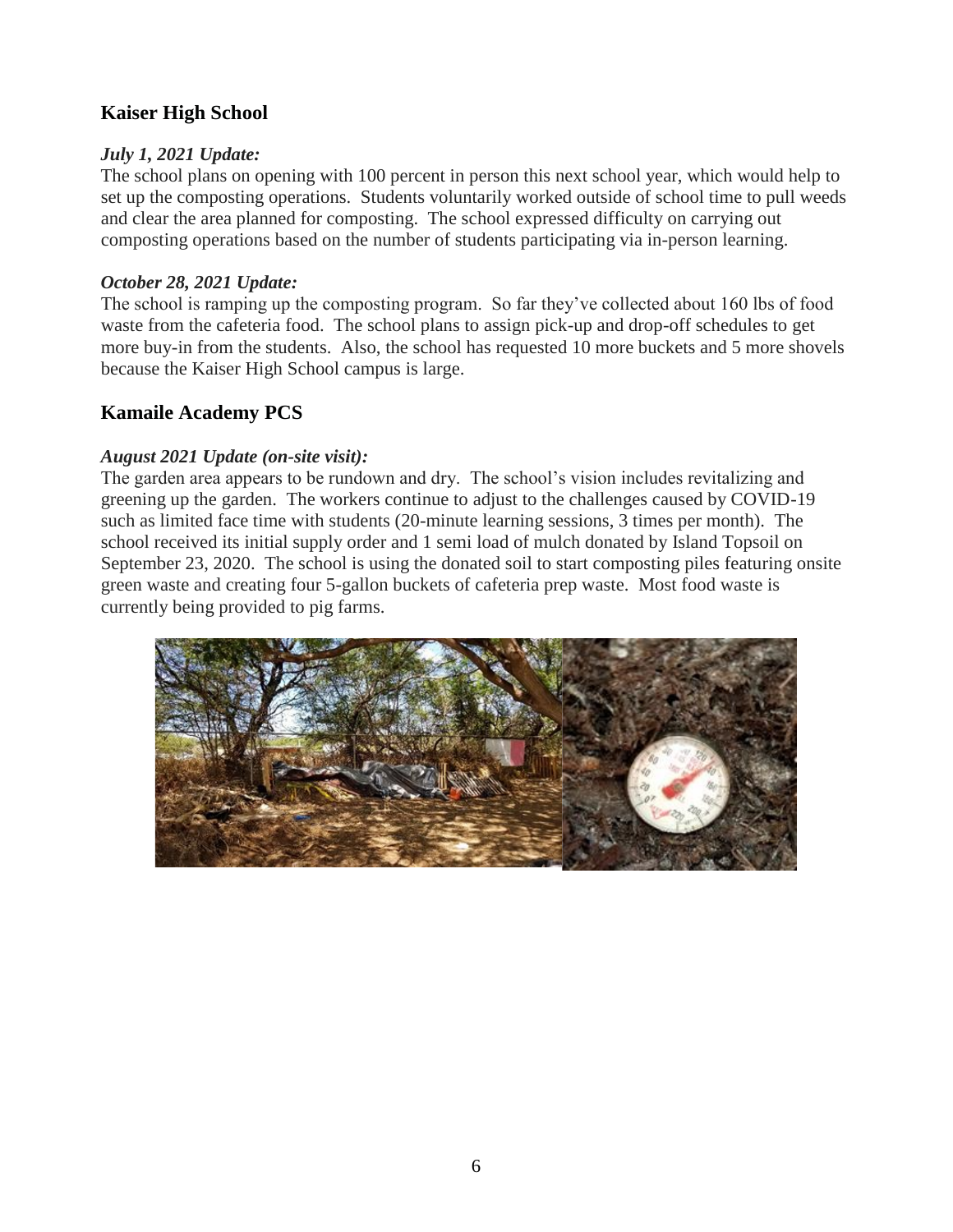#### **Kaiser High School**

#### *July 1, 2021 Update:*

The school plans on opening with 100 percent in person this next school year, which would help to set up the composting operations. Students voluntarily worked outside of school time to pull weeds and clear the area planned for composting. The school expressed difficulty on carrying out composting operations based on the number of students participating via in-person learning.

#### *October 28, 2021 Update:*

The school is ramping up the composting program. So far they've collected about 160 lbs of food waste from the cafeteria food. The school plans to assign pick-up and drop-off schedules to get more buy-in from the students. Also, the school has requested 10 more buckets and 5 more shovels because the Kaiser High School campus is large.

#### **Kamaile Academy PCS**

#### *August 2021 Update (on-site visit):*

The garden area appears to be rundown and dry. The school's vision includes revitalizing and greening up the garden. The workers continue to adjust to the challenges caused by COVID-19 such as limited face time with students (20-minute learning sessions, 3 times per month). The school received its initial supply order and 1 semi load of mulch donated by Island Topsoil on September 23, 2020. The school is using the donated soil to start composting piles featuring onsite green waste and creating four 5-gallon buckets of cafeteria prep waste. Most food waste is currently being provided to pig farms.

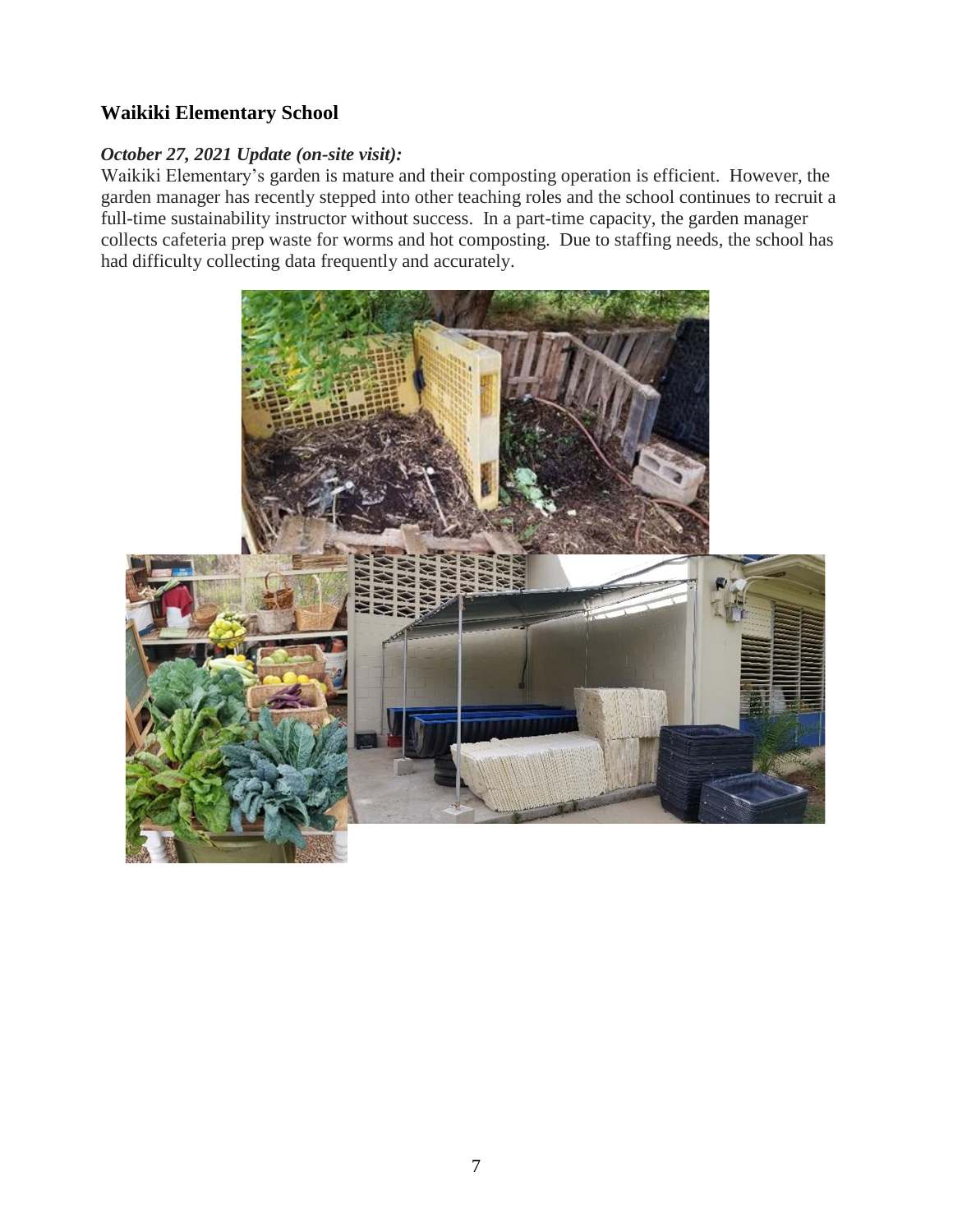#### **Waikiki Elementary School**

#### *October 27, 2021 Update (on-site visit):*

Waikiki Elementary's garden is mature and their composting operation is efficient. However, the garden manager has recently stepped into other teaching roles and the school continues to recruit a full-time sustainability instructor without success. In a part-time capacity, the garden manager collects cafeteria prep waste for worms and hot composting. Due to staffing needs, the school has had difficulty collecting data frequently and accurately.

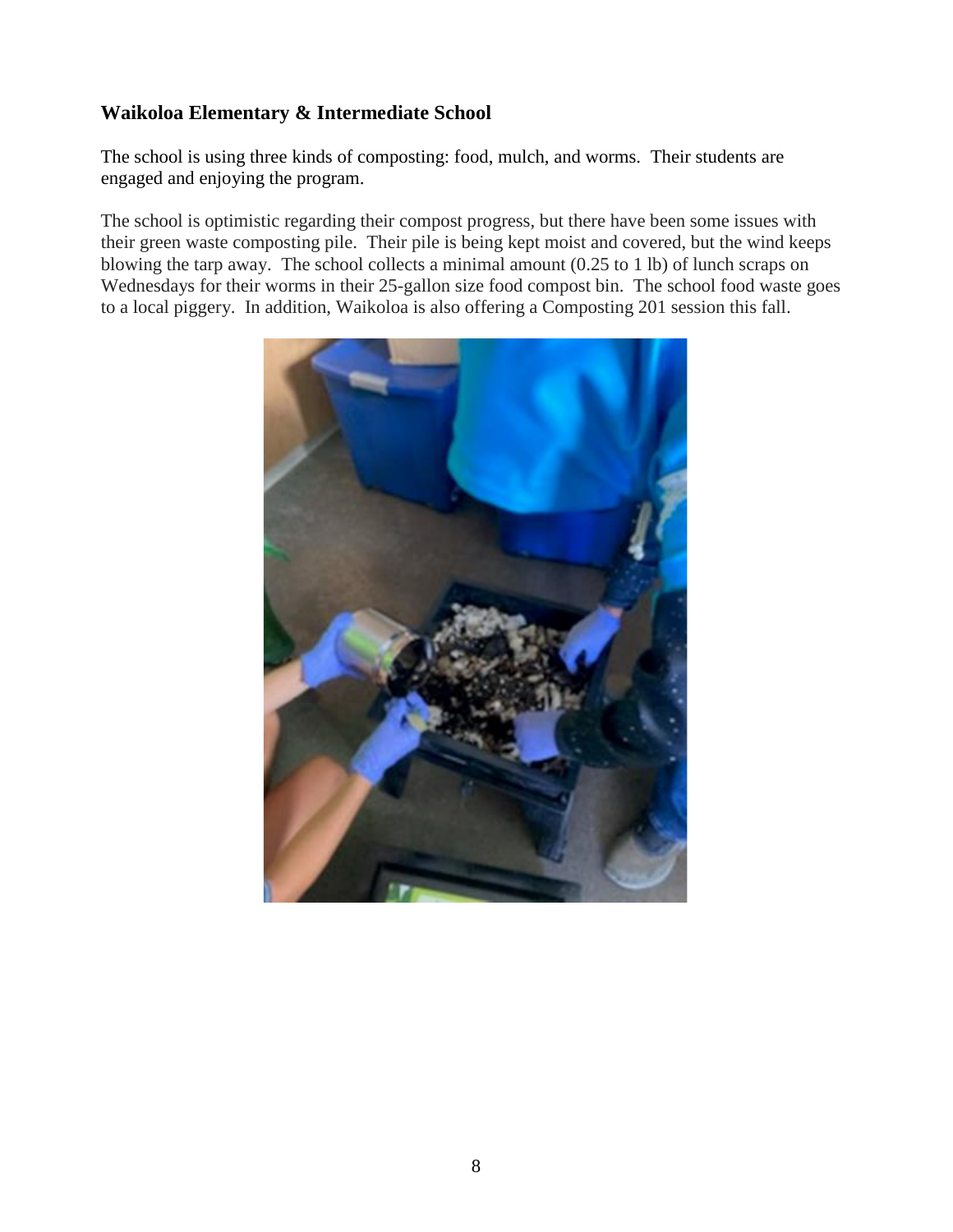#### **Waikoloa Elementary & Intermediate School**

The school is using three kinds of composting: food, mulch, and worms. Their students are engaged and enjoying the program.

The school is optimistic regarding their compost progress, but there have been some issues with their green waste composting pile. Their pile is being kept moist and covered, but the wind keeps blowing the tarp away. The school collects a minimal amount (0.25 to 1 lb) of lunch scraps on Wednesdays for their worms in their 25-gallon size food compost bin. The school food waste goes to a local piggery. In addition, Waikoloa is also offering a Composting 201 session this fall.